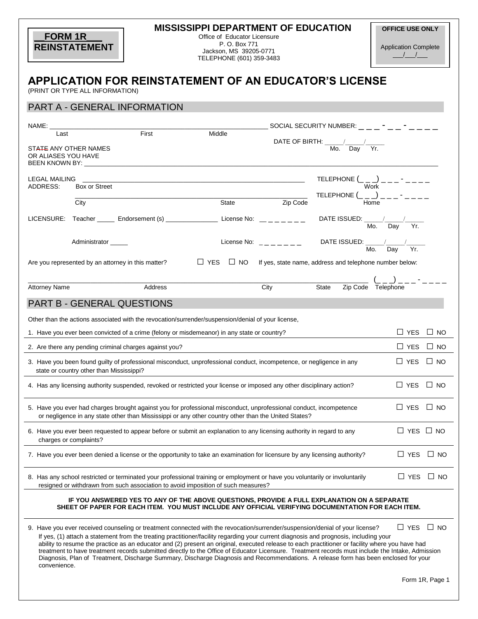| <b>MISSISSIPPI DEPARTMENT OF EDUCATION</b><br><b>FORM 1R</b><br>Office of Educator Licensure<br>P. O. Box 771<br><b>REINSTATEMENT</b><br>Jackson, MS 39205-0771<br>TELEPHONE (601) 359-3483 |                                                                                                                                                                                                                                                                                                                                                                                                                                                                                                                                                                                     |                      | <b>OFFICE USE ONLY</b><br><b>Application Complete</b><br>$\frac{1}{2}$                                                |                                                                                                                                                                                                                                                                                                                                                                                                                          |              |
|---------------------------------------------------------------------------------------------------------------------------------------------------------------------------------------------|-------------------------------------------------------------------------------------------------------------------------------------------------------------------------------------------------------------------------------------------------------------------------------------------------------------------------------------------------------------------------------------------------------------------------------------------------------------------------------------------------------------------------------------------------------------------------------------|----------------------|-----------------------------------------------------------------------------------------------------------------------|--------------------------------------------------------------------------------------------------------------------------------------------------------------------------------------------------------------------------------------------------------------------------------------------------------------------------------------------------------------------------------------------------------------------------|--------------|
| <b>APPLICATION FOR REINSTATEMENT OF AN EDUCATOR'S LICENSE</b><br>(PRINT OR TYPE ALL INFORMATION)                                                                                            |                                                                                                                                                                                                                                                                                                                                                                                                                                                                                                                                                                                     |                      |                                                                                                                       |                                                                                                                                                                                                                                                                                                                                                                                                                          |              |
| PART A - GENERAL INFORMATION                                                                                                                                                                |                                                                                                                                                                                                                                                                                                                                                                                                                                                                                                                                                                                     |                      |                                                                                                                       |                                                                                                                                                                                                                                                                                                                                                                                                                          |              |
| Last                                                                                                                                                                                        | First<br>Middle                                                                                                                                                                                                                                                                                                                                                                                                                                                                                                                                                                     |                      | DATE OF BIRTH: $\frac{1}{\sqrt{1-\frac{1}{n}}}$ Mo. $\frac{1}{\sqrt{1-\frac{1}{n}}}$ $\frac{1}{\sqrt{1-\frac{1}{n}}}$ |                                                                                                                                                                                                                                                                                                                                                                                                                          |              |
| STATE ANY OTHER NAMES<br>OR ALIASES YOU HAVE<br>BEEN KNOWN BY: _____                                                                                                                        |                                                                                                                                                                                                                                                                                                                                                                                                                                                                                                                                                                                     |                      |                                                                                                                       |                                                                                                                                                                                                                                                                                                                                                                                                                          |              |
| <b>LEGAL MAILING</b><br>ADDRESS:<br>Box or Street                                                                                                                                           | <u> 1989 - Johann Stoff, amerikansk politiker (* 1908)</u>                                                                                                                                                                                                                                                                                                                                                                                                                                                                                                                          |                      | TELEPHONE $($ _ _ _) _ _ _ - _ _ _ _                                                                                  | Work <b>Work</b>                                                                                                                                                                                                                                                                                                                                                                                                         |              |
| City<br>LICENSURE: Teacher _______ Endorsement (s) _______________ License No: _______                                                                                                      | State                                                                                                                                                                                                                                                                                                                                                                                                                                                                                                                                                                               | Zip Code             | DATE ISSUED: $\frac{1}{\sqrt{1-\frac{1}{n}}}\sqrt{1-\frac{1}{n}}$                                                     |                                                                                                                                                                                                                                                                                                                                                                                                                          |              |
| Administrator ______                                                                                                                                                                        |                                                                                                                                                                                                                                                                                                                                                                                                                                                                                                                                                                                     | License No: $     -$ | DATE ISSUED: $\frac{1}{\text{Mo.}}$ $\frac{1}{\text{Day}}$ $\frac{1}{\text{Yr.}}$                                     |                                                                                                                                                                                                                                                                                                                                                                                                                          |              |
| Are you represented by an attorney in this matter?                                                                                                                                          | $\Box$ YES $\Box$ NO                                                                                                                                                                                                                                                                                                                                                                                                                                                                                                                                                                |                      | If yes, state name, address and telephone number below:                                                               |                                                                                                                                                                                                                                                                                                                                                                                                                          |              |
| <b>Attorney Name</b>                                                                                                                                                                        | Address                                                                                                                                                                                                                                                                                                                                                                                                                                                                                                                                                                             | City                 | State                                                                                                                 | $\frac{(1-\mu)^2}{\text{Zip Code}} = \frac{(1-\mu)^2}{\text{Telephone}} = \frac{1}{\mu} = \frac{1}{\mu} = \frac{1}{\mu} = \frac{1}{\mu} = \frac{1}{\mu} = \frac{1}{\mu} = \frac{1}{\mu} = \frac{1}{\mu} = \frac{1}{\mu} = \frac{1}{\mu} = \frac{1}{\mu} = \frac{1}{\mu} = \frac{1}{\mu} = \frac{1}{\mu} = \frac{1}{\mu} = \frac{1}{\mu} = \frac{1}{\mu} = \frac{1}{\mu} = \frac{1}{\mu} = \frac{1}{\mu} = \frac{1}{\mu}$ |              |
| <b>PART B - GENERAL QUESTIONS</b>                                                                                                                                                           |                                                                                                                                                                                                                                                                                                                                                                                                                                                                                                                                                                                     |                      |                                                                                                                       |                                                                                                                                                                                                                                                                                                                                                                                                                          |              |
| Other than the actions associated with the revocation/surrender/suspension/denial of your license,                                                                                          |                                                                                                                                                                                                                                                                                                                                                                                                                                                                                                                                                                                     |                      |                                                                                                                       |                                                                                                                                                                                                                                                                                                                                                                                                                          |              |
| 1. Have you ever been convicted of a crime (felony or misdemeanor) in any state or country?                                                                                                 |                                                                                                                                                                                                                                                                                                                                                                                                                                                                                                                                                                                     |                      |                                                                                                                       | $\Box$ YES $\Box$ NO                                                                                                                                                                                                                                                                                                                                                                                                     |              |
| 2. Are there any pending criminal charges against you?                                                                                                                                      |                                                                                                                                                                                                                                                                                                                                                                                                                                                                                                                                                                                     |                      |                                                                                                                       | $\Box$ YES                                                                                                                                                                                                                                                                                                                                                                                                               | $\square$ NO |
| 3. Have you been found quilty of professional misconduct, unprofessional conduct, incompetence, or negligence in any<br>state or country other than Mississippi?                            |                                                                                                                                                                                                                                                                                                                                                                                                                                                                                                                                                                                     |                      |                                                                                                                       | $\Box$ YES                                                                                                                                                                                                                                                                                                                                                                                                               | $\Box$ No    |
| 4. Has any licensing authority suspended, revoked or restricted your license or imposed any other disciplinary action?                                                                      |                                                                                                                                                                                                                                                                                                                                                                                                                                                                                                                                                                                     |                      |                                                                                                                       | $\Box$ YES $\Box$ NO                                                                                                                                                                                                                                                                                                                                                                                                     |              |
| 5. Have you ever had charges brought against you for professional misconduct, unprofessional conduct, incompetence                                                                          | or negligence in any state other than Mississippi or any other country other than the United States?                                                                                                                                                                                                                                                                                                                                                                                                                                                                                |                      |                                                                                                                       | $\Box$ YES                                                                                                                                                                                                                                                                                                                                                                                                               | $\Box$ No    |
| 6. Have you ever been requested to appear before or submit an explanation to any licensing authority in regard to any<br>charges or complaints?                                             |                                                                                                                                                                                                                                                                                                                                                                                                                                                                                                                                                                                     |                      |                                                                                                                       | $\Box$ YES $\Box$ NO                                                                                                                                                                                                                                                                                                                                                                                                     |              |
| 7. Have you ever been denied a license or the opportunity to take an examination for licensure by any licensing authority?                                                                  |                                                                                                                                                                                                                                                                                                                                                                                                                                                                                                                                                                                     |                      |                                                                                                                       | ∐ YES                                                                                                                                                                                                                                                                                                                                                                                                                    | $\Box$ No    |
| 8. Has any school restricted or terminated your professional training or employment or have you voluntarily or involuntarily                                                                | resigned or withdrawn from such association to avoid imposition of such measures?                                                                                                                                                                                                                                                                                                                                                                                                                                                                                                   |                      |                                                                                                                       | $\Box$ YES                                                                                                                                                                                                                                                                                                                                                                                                               | $\Box$ NO    |
|                                                                                                                                                                                             | IF YOU ANSWERED YES TO ANY OF THE ABOVE QUESTIONS, PROVIDE A FULL EXPLANATION ON A SEPARATE<br>SHEET OF PAPER FOR EACH ITEM. YOU MUST INCLUDE ANY OFFICIAL VERIFYING DOCUMENTATION FOR EACH ITEM.                                                                                                                                                                                                                                                                                                                                                                                   |                      |                                                                                                                       |                                                                                                                                                                                                                                                                                                                                                                                                                          |              |
| 9. Have you ever received counseling or treatment connected with the revocation/surrender/suspension/denial of your license?<br>convenience.                                                | If yes, (1) attach a statement from the treating practitioner/facility regarding your current diagnosis and prognosis, including your<br>ability to resume the practice as an educator and (2) present an original, executed release to each practitioner or facility where you have had<br>treatment to have treatment records submitted directly to the Office of Educator Licensure. Treatment records must include the Intake, Admission<br>Diagnosis, Plan of Treatment, Discharge Summary, Discharge Diagnosis and Recommendations. A release form has been enclosed for your |                      |                                                                                                                       | $\Box$ YES $\Box$ NO                                                                                                                                                                                                                                                                                                                                                                                                     |              |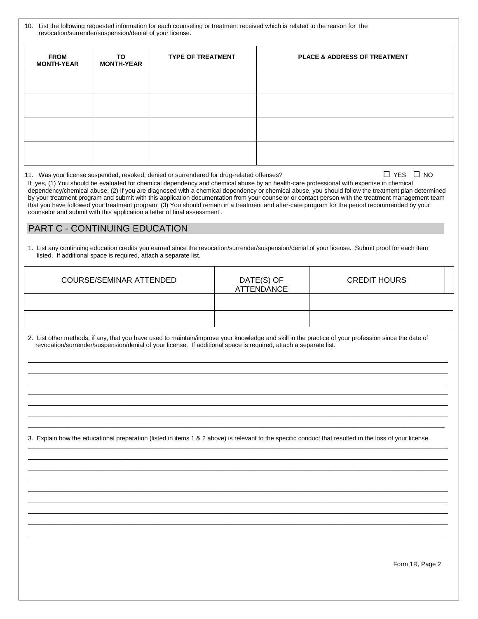| 10. List the following requested information for each counseling or treatment received which is related to the reason for the |
|-------------------------------------------------------------------------------------------------------------------------------|
| revocation/surrender/suspension/denial of your license.                                                                       |

| <b>FROM</b><br><b>MONTH-YEAR</b> | TO<br><b>MONTH-YEAR</b> | <b>TYPE OF TREATMENT</b> | <b>PLACE &amp; ADDRESS OF TREATMENT</b> |
|----------------------------------|-------------------------|--------------------------|-----------------------------------------|
|                                  |                         |                          |                                         |
|                                  |                         |                          |                                         |
|                                  |                         |                          |                                         |
|                                  |                         |                          |                                         |

11. Was your license suspended, revoked, denied or surrendered for drug-related offenses? □ YES □ NO

If yes, (1) You should be evaluated for chemical dependency and chemical abuse by an health-care professional with expertise in chemical dependency/chemical abuse; (2) If you are diagnosed with a chemical dependency or chemical abuse, you should follow the treatment plan determined by your treatment program and submit with this application documentation from your counselor or contact person with the treatment management team that you have followed your treatment program; (3) You should remain in a treatment and after-care program for the period recommended by your counselor and submit with this application a letter of final assessment .

### PART C - CONTINUING EDUCATION

1. List any continuing education credits you earned since the revocation/surrender/suspension/denial of your license. Submit proof for each item listed. If additional space is required, attach a separate list.

| COURSE/SEMINAR ATTENDED | DATE(S) OF<br><b>ATTENDANCE</b> | <b>CREDIT HOURS</b> |
|-------------------------|---------------------------------|---------------------|
|                         |                                 |                     |
|                         |                                 |                     |

 $\_$  , and the set of the set of the set of the set of the set of the set of the set of the set of the set of the set of the set of the set of the set of the set of the set of the set of the set of the set of the set of th  $\_$  , and the set of the set of the set of the set of the set of the set of the set of the set of the set of the set of the set of the set of the set of the set of the set of the set of the set of the set of the set of th \_\_\_\_\_\_\_\_\_\_\_\_\_\_\_\_\_\_\_\_\_\_\_\_\_\_\_\_\_\_\_\_\_\_\_\_\_\_\_\_\_\_\_\_\_\_\_\_\_\_\_\_\_\_\_\_\_\_\_\_\_\_\_\_\_\_\_\_\_\_\_\_\_\_\_\_\_\_\_\_\_\_\_\_\_\_\_\_\_\_\_\_\_\_\_\_\_\_\_\_\_\_\_\_\_\_\_\_\_\_\_\_\_\_\_\_\_\_\_\_\_ \_\_\_\_\_\_\_\_\_\_\_\_\_\_\_\_\_\_\_\_\_\_\_\_\_\_\_\_\_\_\_\_\_\_\_\_\_\_\_\_\_\_\_\_\_\_\_\_\_\_\_\_\_\_\_\_\_\_\_\_\_\_\_\_\_\_\_\_\_\_\_\_\_\_\_\_\_\_\_\_\_\_\_\_\_\_\_\_\_\_\_\_\_\_\_\_\_\_\_\_\_\_\_\_\_\_\_\_\_\_\_\_\_\_\_\_\_\_\_\_\_  $\_$  , and the set of the set of the set of the set of the set of the set of the set of the set of the set of the set of the set of the set of the set of the set of the set of the set of the set of the set of the set of th  $\_$  , and the set of the set of the set of the set of the set of the set of the set of the set of the set of the set of the set of the set of the set of the set of the set of the set of the set of the set of the set of th \_\_\_\_\_\_\_\_\_\_\_\_\_\_\_\_\_\_\_\_\_\_\_\_\_\_\_\_\_\_\_\_\_\_\_\_\_\_\_\_\_\_\_\_\_\_\_\_\_\_\_\_\_\_\_\_\_\_\_\_\_\_\_\_\_\_\_\_\_\_\_\_\_\_\_\_\_\_\_\_\_\_\_\_\_\_\_\_\_\_\_\_\_\_\_\_\_\_\_\_\_\_\_\_\_\_\_\_\_\_\_\_\_\_\_\_\_\_\_\_

2. List other methods, if any, that you have used to maintain/improve your knowledge and skill in the practice of your profession since the date of revocation/surrender/suspension/denial of your license. If additional space is required, attach a separate list.

3. Explain how the educational preparation (listed in items 1 & 2 above) is relevant to the specific conduct that resulted in the loss of your license.

\_\_\_\_\_\_\_\_\_\_\_\_\_\_\_\_\_\_\_\_\_\_\_\_\_\_\_\_\_\_\_\_\_\_\_\_\_\_\_\_\_\_\_\_\_\_\_\_\_\_\_\_\_\_\_\_\_\_\_\_\_\_\_\_\_\_\_\_\_\_\_\_\_\_\_\_\_\_\_\_\_\_\_\_\_\_\_\_\_\_\_\_\_\_\_\_\_\_\_\_\_\_\_\_\_\_\_\_\_\_\_\_\_\_\_\_\_\_\_\_\_  $\_$  , and the set of the set of the set of the set of the set of the set of the set of the set of the set of the set of the set of the set of the set of the set of the set of the set of the set of the set of the set of th  $\_$  , and the set of the set of the set of the set of the set of the set of the set of the set of the set of the set of the set of the set of the set of the set of the set of the set of the set of the set of the set of th  $\_$  , and the set of the set of the set of the set of the set of the set of the set of the set of the set of the set of the set of the set of the set of the set of the set of the set of the set of the set of the set of th \_\_\_\_\_\_\_\_\_\_\_\_\_\_\_\_\_\_\_\_\_\_\_\_\_\_\_\_\_\_\_\_\_\_\_\_\_\_\_\_\_\_\_\_\_\_\_\_\_\_\_\_\_\_\_\_\_\_\_\_\_\_\_\_\_\_\_\_\_\_\_\_\_\_\_\_\_\_\_\_\_\_\_\_\_\_\_\_\_\_\_\_\_\_\_\_\_\_\_\_\_\_\_\_\_\_\_\_\_\_\_\_\_\_\_\_\_\_\_\_\_ \_\_\_\_\_\_\_\_\_\_\_\_\_\_\_\_\_\_\_\_\_\_\_\_\_\_\_\_\_\_\_\_\_\_\_\_\_\_\_\_\_\_\_\_\_\_\_\_\_\_\_\_\_\_\_\_\_\_\_\_\_\_\_\_\_\_\_\_\_\_\_\_\_\_\_\_\_\_\_\_\_\_\_\_\_\_\_\_\_\_\_\_\_\_\_\_\_\_\_\_\_\_\_\_\_\_\_\_\_\_\_\_\_\_\_\_\_\_\_\_\_  $\_$  , and the set of the set of the set of the set of the set of the set of the set of the set of the set of the set of the set of the set of the set of the set of the set of the set of the set of the set of the set of th  $\_$  , and the set of the set of the set of the set of the set of the set of the set of the set of the set of the set of the set of the set of the set of the set of the set of the set of the set of the set of the set of th  $\_$  , and the set of the set of the set of the set of the set of the set of the set of the set of the set of the set of the set of the set of the set of the set of the set of the set of the set of the set of the set of th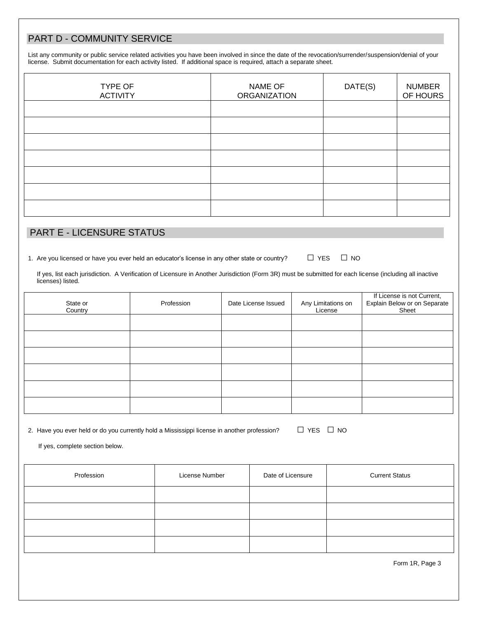# PART D - COMMUNITY SERVICE

List any community or public service related activities you have been involved in since the date of the revocation/surrender/suspension/denial of your license. Submit documentation for each activity listed. If additional space is required, attach a separate sheet.

| TYPE OF<br><b>ACTIVITY</b> | NAME OF<br><b>ORGANIZATION</b> | DATE(S) | <b>NUMBER</b><br>OF HOURS |
|----------------------------|--------------------------------|---------|---------------------------|
|                            |                                |         |                           |
|                            |                                |         |                           |
|                            |                                |         |                           |
|                            |                                |         |                           |
|                            |                                |         |                           |
|                            |                                |         |                           |
|                            |                                |         |                           |

## PART E - LICENSURE STATUS

1. Are you licensed or have you ever held an educator's license in any other state or country?  $\Box$  YES  $\Box$  NO

 If yes, list each jurisdiction. A Verification of Licensure in Another Jurisdiction (Form 3R) must be submitted for each license (including all inactive licenses) listed.

| State or<br>Country | Profession | Date License Issued | Any Limitations on<br>License | If License is not Current,<br>Explain Below or on Separate<br>Sheet |
|---------------------|------------|---------------------|-------------------------------|---------------------------------------------------------------------|
|                     |            |                     |                               |                                                                     |
|                     |            |                     |                               |                                                                     |
|                     |            |                     |                               |                                                                     |
|                     |            |                     |                               |                                                                     |
|                     |            |                     |                               |                                                                     |
|                     |            |                     |                               |                                                                     |

2. Have you ever held or do you currently hold a Mississippi license in another profession?  $\Box$  YES  $\Box$  NO

If yes, complete section below.

| Profession | License Number | Date of Licensure | <b>Current Status</b> |
|------------|----------------|-------------------|-----------------------|
|            |                |                   |                       |
|            |                |                   |                       |
|            |                |                   |                       |
|            |                |                   |                       |

Form 1R, Page 3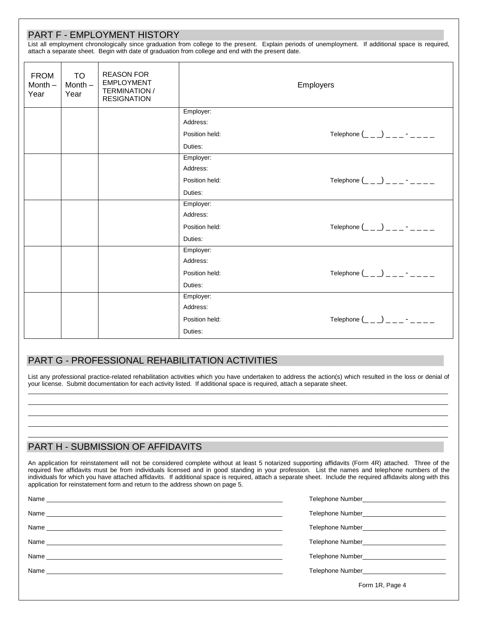|                                  |                                | <b>PART F - EMPLOYMENT HISTORY</b>                                                   | attach a separate sheet. Begin with date of graduation from college and end with the present date. | List all employment chronologically since graduation from college to the present. Explain periods of unemployment. If additional space is required, |  |
|----------------------------------|--------------------------------|--------------------------------------------------------------------------------------|----------------------------------------------------------------------------------------------------|-----------------------------------------------------------------------------------------------------------------------------------------------------|--|
| <b>FROM</b><br>Month $-$<br>Year | <b>TO</b><br>Month $-$<br>Year | <b>REASON FOR</b><br><b>EMPLOYMENT</b><br><b>TERMINATION /</b><br><b>RESIGNATION</b> | Employers                                                                                          |                                                                                                                                                     |  |
|                                  |                                |                                                                                      | Employer:                                                                                          |                                                                                                                                                     |  |
|                                  |                                |                                                                                      | Address:                                                                                           |                                                                                                                                                     |  |
|                                  |                                |                                                                                      | Position held:                                                                                     |                                                                                                                                                     |  |
|                                  |                                |                                                                                      | Duties:                                                                                            |                                                                                                                                                     |  |
|                                  |                                |                                                                                      | Employer:                                                                                          |                                                                                                                                                     |  |
|                                  |                                |                                                                                      | Address:                                                                                           |                                                                                                                                                     |  |
|                                  |                                |                                                                                      | Position held:                                                                                     | Telephone $(\_ \_ \_ )$ $\_$ $\_$ $\_$ $\_$                                                                                                         |  |
|                                  |                                |                                                                                      | Duties:                                                                                            |                                                                                                                                                     |  |
|                                  |                                |                                                                                      | Employer:                                                                                          |                                                                                                                                                     |  |
|                                  |                                |                                                                                      | Address:                                                                                           |                                                                                                                                                     |  |
|                                  |                                |                                                                                      | Position held:                                                                                     | Telephone $(\_ \_ \_ )$ $\_$ $\_$ $\_$ $\_$                                                                                                         |  |
|                                  |                                |                                                                                      | Duties:                                                                                            |                                                                                                                                                     |  |
|                                  |                                |                                                                                      | Employer:                                                                                          |                                                                                                                                                     |  |
|                                  |                                |                                                                                      | Address:                                                                                           |                                                                                                                                                     |  |
|                                  |                                |                                                                                      | Position held:                                                                                     | Telephone $($ <sub>--</sub> ) ------                                                                                                                |  |
|                                  |                                |                                                                                      | Duties:                                                                                            |                                                                                                                                                     |  |
|                                  |                                |                                                                                      | Employer:                                                                                          |                                                                                                                                                     |  |
|                                  |                                |                                                                                      | Address:                                                                                           |                                                                                                                                                     |  |
|                                  |                                |                                                                                      | Position held:                                                                                     |                                                                                                                                                     |  |
|                                  |                                |                                                                                      | Duties:                                                                                            |                                                                                                                                                     |  |

#### PART G - PROFESSIONAL REHABILITATION ACTIVITIES

List any professional practice-related rehabilitation activities which you have undertaken to address the action(s) which resulted in the loss or denial of your license. Submit documentation for each activity listed. If additional space is required, attach a separate sheet. \_\_\_\_\_\_\_\_\_\_\_\_\_\_\_\_\_\_\_\_\_\_\_\_\_\_\_\_\_\_\_\_\_\_\_\_\_\_\_\_\_\_\_\_\_\_\_\_\_\_\_\_\_\_\_\_\_\_\_\_\_\_\_\_\_\_\_\_\_\_\_\_\_\_\_\_\_\_\_\_\_\_\_\_\_\_\_\_\_\_\_\_\_\_\_\_\_\_\_\_\_\_\_\_\_\_\_\_\_\_\_\_\_\_\_\_\_\_\_\_\_

\_\_\_\_\_\_\_\_\_\_\_\_\_\_\_\_\_\_\_\_\_\_\_\_\_\_\_\_\_\_\_\_\_\_\_\_\_\_\_\_\_\_\_\_\_\_\_\_\_\_\_\_\_\_\_\_\_\_\_\_\_\_\_\_\_\_\_\_\_\_\_\_\_\_\_\_\_\_\_\_\_\_\_\_\_\_\_\_\_\_\_\_\_\_\_\_\_\_\_\_\_\_\_\_\_\_\_\_\_\_\_\_\_\_\_\_\_\_\_\_\_ \_\_\_\_\_\_\_\_\_\_\_\_\_\_\_\_\_\_\_\_\_\_\_\_\_\_\_\_\_\_\_\_\_\_\_\_\_\_\_\_\_\_\_\_\_\_\_\_\_\_\_\_\_\_\_\_\_\_\_\_\_\_\_\_\_\_\_\_\_\_\_\_\_\_\_\_\_\_\_\_\_\_\_\_\_\_\_\_\_\_\_\_\_\_\_\_\_\_\_\_\_\_\_\_\_\_\_\_\_\_\_\_\_\_\_\_\_\_\_\_\_ \_\_\_\_\_\_\_\_\_\_\_\_\_\_\_\_\_\_\_\_\_\_\_\_\_\_\_\_\_\_\_\_\_\_\_\_\_\_\_\_\_\_\_\_\_\_\_\_\_\_\_\_\_\_\_\_\_\_\_\_\_\_\_\_\_\_\_\_\_\_\_\_\_\_\_\_\_\_\_\_\_\_\_\_\_\_\_\_\_\_\_\_\_\_\_\_\_\_\_\_\_\_\_\_\_\_\_\_\_\_\_\_\_\_\_\_\_\_\_\_\_  $\_$  , and the set of the set of the set of the set of the set of the set of the set of the set of the set of the set of the set of the set of the set of the set of the set of the set of the set of the set of the set of th

#### PART H - SUBMISSION OF AFFIDAVITS

An application for reinstatement will not be considered complete without at least 5 notarized supporting affidavits (Form 4R) attached. Three of the required five affidavits must be from individuals licensed and in good standing in your profession. List the names and telephone numbers of the individuals for which you have attached affidavits. If additional space is required, attach a separate sheet. Include the required affidavits along with this application for reinstatement form and return to the address shown on page 5.

| Telephone Number <b>Manual</b> Property and Property and Property and Property and Property and Property and Property and Property and Property and Property and Property and Property and Property and Property and Property and P |
|-------------------------------------------------------------------------------------------------------------------------------------------------------------------------------------------------------------------------------------|
| Telephone Number <b>Number Telephone</b> Number                                                                                                                                                                                     |
| Telephone Number <b>Manual</b> Property and Property and Property and Property and Property and Property and Property and Property and Property and Property and Property and Property and Property and Property and Property and P |
| Telephone Number_____________________________                                                                                                                                                                                       |
| Telephone Number <b>Number Telephone</b> Number                                                                                                                                                                                     |
| Form 1R, Page 4                                                                                                                                                                                                                     |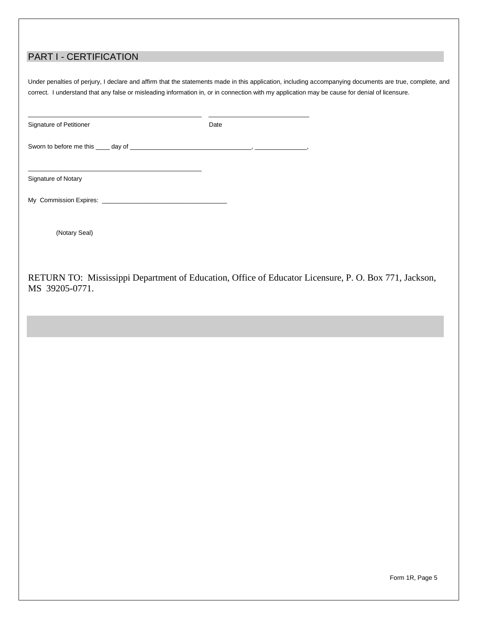# PART I - CERTIFICATION

Under penalties of perjury, I declare and affirm that the statements made in this application, including accompanying documents are true, complete, and correct. I understand that any false or misleading information in, or in connection with my application may be cause for denial of licensure.

| Signature of Petitioner | Date |
|-------------------------|------|
|                         |      |
| Signature of Notary     |      |
|                         |      |
| (Notary Seal)           |      |

RETURN TO: Mississippi Department of Education, Office of Educator Licensure, P. O. Box 771, Jackson, MS 39205-0771.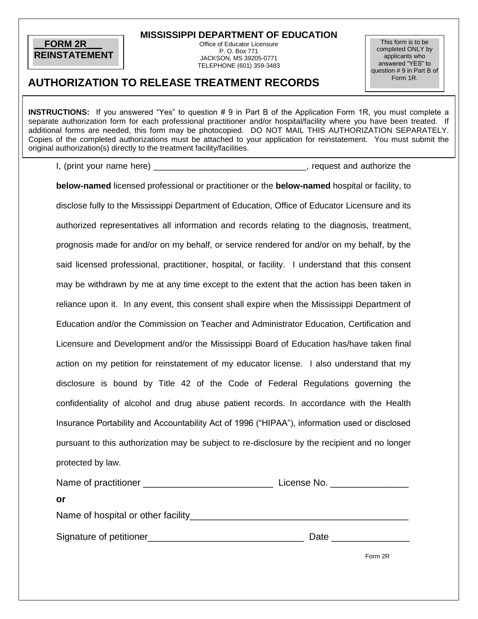#### **\_\_FORM 2R\_\_\_ REINSTATEMENT**

**MISSISSIPPI DEPARTMENT OF EDUCATION** 

Office of Educator Licensure P. O. Box 771 JACKSON, MS 39205-0771 TELEPHONE (601) 359-3483

This form is to be completed ONLY by applicants who answered "YES" to question # 9 in Part B of Form 1R.

# **AUTHORIZATION TO RELEASE TREATMENT RECORDS**

**INSTRUCTIONS:** If you answered "Yes" to question # 9 in Part B of the Application Form 1R, you must complete a separate authorization form for each professional practitioner and/or hospital/facility where you have been treated. If additional forms are needed, this form may be photocopied. DO NOT MAIL THIS AUTHORIZATION SEPARATELY. Copies of the completed authorizations must be attached to your application for reinstatement. You must submit the original authorization(s) directly to the treatment facility/facilities.

I, (print your name here) The same set of the set of the set of the set of the set of the set of the set of the set of the set of the set of the set of the set of the set of the set of the set of the set of the set of the

**below-named** licensed professional or practitioner or the **below-named** hospital or facility, to disclose fully to the Mississippi Department of Education, Office of Educator Licensure and its authorized representatives all information and records relating to the diagnosis, treatment, prognosis made for and/or on my behalf, or service rendered for and/or on my behalf, by the said licensed professional, practitioner, hospital, or facility. I understand that this consent may be withdrawn by me at any time except to the extent that the action has been taken in reliance upon it. In any event, this consent shall expire when the Mississippi Department of Education and/or the Commission on Teacher and Administrator Education, Certification and Licensure and Development and/or the Mississippi Board of Education has/have taken final action on my petition for reinstatement of my educator license. I also understand that my disclosure is bound by Title 42 of the Code of Federal Regulations governing the confidentiality of alcohol and drug abuse patient records. In accordance with the Health Insurance Portability and Accountability Act of 1996 ("HIPAA"), information used or disclosed pursuant to this authorization may be subject to re-disclosure by the recipient and no longer protected by law.

| Name of practitioner ______________                                          | License No. |  |
|------------------------------------------------------------------------------|-------------|--|
| or                                                                           |             |  |
| Name of hospital or other facility <b>Name of hospital or other facility</b> |             |  |
| Signature of petitioner                                                      | Date        |  |

Form 2R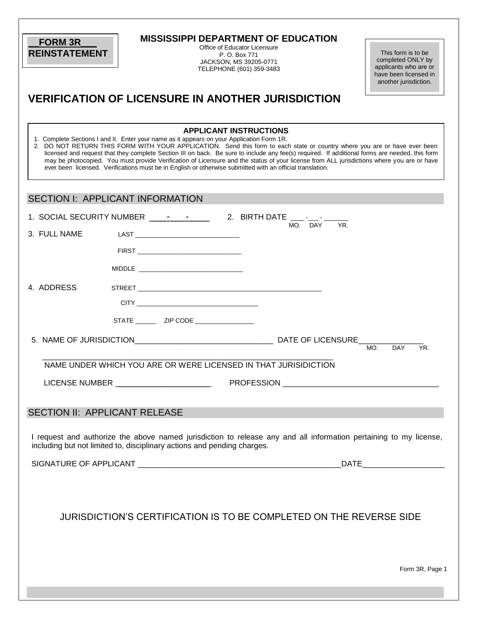| <b>FORM 3R</b>                          | <b>MISSISSIPPI DEPARTMENT OF EDUCATION</b>                                                                                                                                                                                                                                  |                                                    |                                                |
|-----------------------------------------|-----------------------------------------------------------------------------------------------------------------------------------------------------------------------------------------------------------------------------------------------------------------------------|----------------------------------------------------|------------------------------------------------|
| <b>REINSTATEMENT</b>                    |                                                                                                                                                                                                                                                                             | Office of Educator Licensure<br>P. O. Box 771      | This form is to be                             |
|                                         |                                                                                                                                                                                                                                                                             | JACKSON, MS 39205-0771<br>TELEPHONE (601) 359-3483 | completed ONLY by<br>applicants who are or     |
|                                         |                                                                                                                                                                                                                                                                             |                                                    | have been licensed in<br>another jurisdiction. |
|                                         |                                                                                                                                                                                                                                                                             |                                                    |                                                |
|                                         | <b>VERIFICATION OF LICENSURE IN ANOTHER JURISDICTION</b>                                                                                                                                                                                                                    |                                                    |                                                |
|                                         |                                                                                                                                                                                                                                                                             |                                                    |                                                |
|                                         | <b>APPLICANT INSTRUCTIONS</b>                                                                                                                                                                                                                                               |                                                    |                                                |
|                                         | 1. Complete Sections I and II. Enter your name as it appears on your Application Form 1R.                                                                                                                                                                                   |                                                    |                                                |
|                                         | 2. DO NOT RETURN THIS FORM WITH YOUR APPLICATION. Send this form to each state or country where you are or have ever been<br>licensed and request that they complete Section III on back. Be sure to include any fee(s) required. If additional forms are needed, this form |                                                    |                                                |
|                                         | may be photocopied. You must provide Verification of Licensure and the status of your license from ALL jurisdictions where you are or have<br>ever been licensed. Verifications must be in English or otherwise submitted with an official translation.                     |                                                    |                                                |
|                                         |                                                                                                                                                                                                                                                                             |                                                    |                                                |
|                                         |                                                                                                                                                                                                                                                                             |                                                    |                                                |
| <b>SECTION I: APPLICANT INFORMATION</b> |                                                                                                                                                                                                                                                                             |                                                    |                                                |
|                                         |                                                                                                                                                                                                                                                                             |                                                    |                                                |
| 3. FULL NAME                            |                                                                                                                                                                                                                                                                             | MO. DAY                                            | YR.                                            |
|                                         |                                                                                                                                                                                                                                                                             |                                                    |                                                |
|                                         |                                                                                                                                                                                                                                                                             |                                                    |                                                |
|                                         |                                                                                                                                                                                                                                                                             |                                                    |                                                |
| 4. ADDRESS                              |                                                                                                                                                                                                                                                                             |                                                    |                                                |
|                                         |                                                                                                                                                                                                                                                                             |                                                    |                                                |
|                                         |                                                                                                                                                                                                                                                                             |                                                    |                                                |
|                                         | STATE _____________ ZIP CODE ____________________                                                                                                                                                                                                                           |                                                    |                                                |
|                                         |                                                                                                                                                                                                                                                                             |                                                    |                                                |
|                                         |                                                                                                                                                                                                                                                                             |                                                    | YR.<br><b>DAY</b><br>MO.                       |
|                                         | NAME UNDER WHICH YOU ARE OR WERE LICENSED IN THAT JURISIDICTION                                                                                                                                                                                                             |                                                    |                                                |
| <b>LICENSE NUMBER</b>                   |                                                                                                                                                                                                                                                                             | <b>PROFESSION</b>                                  |                                                |
|                                         |                                                                                                                                                                                                                                                                             |                                                    |                                                |
|                                         |                                                                                                                                                                                                                                                                             |                                                    |                                                |
| SECTION II: APPLICANT RELEASE           |                                                                                                                                                                                                                                                                             |                                                    |                                                |
|                                         |                                                                                                                                                                                                                                                                             |                                                    |                                                |
|                                         | I request and authorize the above named jurisdiction to release any and all information pertaining to my license,<br>including but not limited to, disciplinary actions and pending charges.                                                                                |                                                    |                                                |
|                                         |                                                                                                                                                                                                                                                                             |                                                    |                                                |
|                                         |                                                                                                                                                                                                                                                                             |                                                    | DATE <b>DATE</b>                               |
|                                         |                                                                                                                                                                                                                                                                             |                                                    |                                                |
|                                         |                                                                                                                                                                                                                                                                             |                                                    |                                                |
|                                         |                                                                                                                                                                                                                                                                             |                                                    |                                                |
|                                         | JURISDICTION'S CERTIFICATION IS TO BE COMPLETED ON THE REVERSE SIDE                                                                                                                                                                                                         |                                                    |                                                |
|                                         |                                                                                                                                                                                                                                                                             |                                                    |                                                |
|                                         |                                                                                                                                                                                                                                                                             |                                                    |                                                |
|                                         |                                                                                                                                                                                                                                                                             |                                                    |                                                |
|                                         |                                                                                                                                                                                                                                                                             |                                                    | Form 3R, Page 1                                |
|                                         |                                                                                                                                                                                                                                                                             |                                                    |                                                |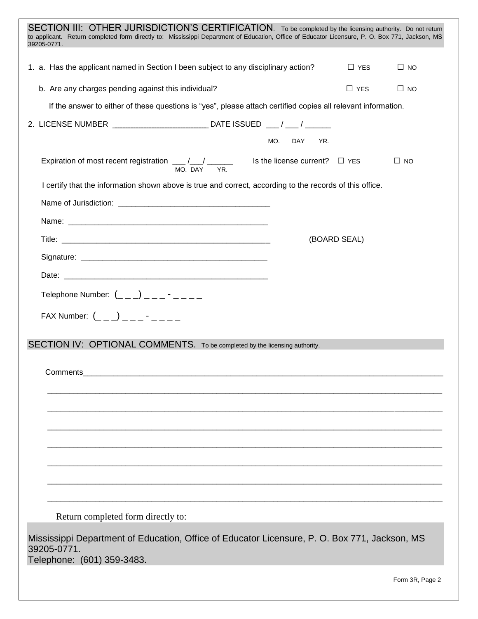| SECTION III: OTHER JURISDICTION'S CERTIFICATION. To be completed by the licensing authority. Do not return<br>to applicant. Return completed form directly to: Mississippi Department of Education, Office of Educator Licensure, P. O. Box 771, Jackson, MS<br>39205-0771. |
|-----------------------------------------------------------------------------------------------------------------------------------------------------------------------------------------------------------------------------------------------------------------------------|
| 1. a. Has the applicant named in Section I been subject to any disciplinary action?<br>$\Box$ YES<br>$\Box$ NO                                                                                                                                                              |
| b. Are any charges pending against this individual?<br>$\Box$ YES<br>$\Box$ NO                                                                                                                                                                                              |
| If the answer to either of these questions is "yes", please attach certified copies all relevant information.                                                                                                                                                               |
|                                                                                                                                                                                                                                                                             |
| MO.<br>DAY<br>YR.                                                                                                                                                                                                                                                           |
| Expiration of most recent registration $\underline{\qquad}/\underline{\qquad}/\underline{\qquad}$ Is the license current? $\square$ YES<br>$\Box$ NO<br>MO. DAY YR.                                                                                                         |
| I certify that the information shown above is true and correct, according to the records of this office.                                                                                                                                                                    |
|                                                                                                                                                                                                                                                                             |
|                                                                                                                                                                                                                                                                             |
| (BOARD SEAL)                                                                                                                                                                                                                                                                |
|                                                                                                                                                                                                                                                                             |
|                                                                                                                                                                                                                                                                             |
| Telephone Number: $(\_ \_ \_ \_ )$ $(\_ \_ \_ \_ \_ \_ \_ \_ \_ \_ \_ \_$                                                                                                                                                                                                   |
| FAX Number: $($ $($ $)$ $)$ $($ $)$ $($ $)$ $($ $)$ $($ $)$ $($ $)$ $($ $)$ $($ $)$ $($ $)$ $($ $)$ $($ $)$ $($ $)$ $($ $)$ $($ $)$ $($ $)$ $($ $)$ $($ $)$ $($ $)$ $($ $)$ $($ $)$ $($ $)$ $($ $)$ $($ $)$ $($ $)$ $($ $)$                                                 |
|                                                                                                                                                                                                                                                                             |
| SECTION IV: OPTIONAL COMMENTS. To be completed by the licensing authority.                                                                                                                                                                                                  |
|                                                                                                                                                                                                                                                                             |
| Comments                                                                                                                                                                                                                                                                    |
|                                                                                                                                                                                                                                                                             |
|                                                                                                                                                                                                                                                                             |
|                                                                                                                                                                                                                                                                             |
|                                                                                                                                                                                                                                                                             |
|                                                                                                                                                                                                                                                                             |
|                                                                                                                                                                                                                                                                             |
|                                                                                                                                                                                                                                                                             |
| Return completed form directly to:                                                                                                                                                                                                                                          |
| Mississippi Department of Education, Office of Educator Licensure, P. O. Box 771, Jackson, MS<br>39205-0771.<br>Telephone: (601) 359-3483.                                                                                                                                  |
| Form 3R, Page 2                                                                                                                                                                                                                                                             |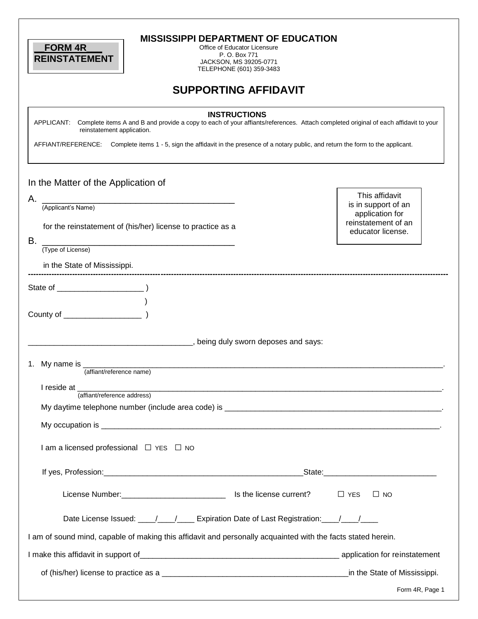| <b>FORM 4R</b><br><b>REINSTATEMENT</b>                                                                                                                                                                                                                                                                               | <b>MISSISSIPPI DEPARTMENT OF EDUCATION</b><br>Office of Educator Licensure<br>P. O. Box 771<br>JACKSON, MS 39205-0771<br>TELEPHONE (601) 359-3483 |                                                                                                      |
|----------------------------------------------------------------------------------------------------------------------------------------------------------------------------------------------------------------------------------------------------------------------------------------------------------------------|---------------------------------------------------------------------------------------------------------------------------------------------------|------------------------------------------------------------------------------------------------------|
|                                                                                                                                                                                                                                                                                                                      | <b>SUPPORTING AFFIDAVIT</b>                                                                                                                       |                                                                                                      |
| APPLICANT: Complete items A and B and provide a copy to each of your affiants/references. Attach completed original of each affidavit to your<br>reinstatement application.<br>AFFIANT/REFERENCE: Complete items 1 - 5, sign the affidavit in the presence of a notary public, and return the form to the applicant. | <b>INSTRUCTIONS</b>                                                                                                                               |                                                                                                      |
| In the Matter of the Application of<br>Α.<br>(Applicant's Name)<br>for the reinstatement of (his/her) license to practice as a<br>В.<br><u> 1980 - Johann John Stone, mars eta biztanleria (</u><br>(Type of License)                                                                                                |                                                                                                                                                   | This affidavit<br>is in support of an<br>application for<br>reinstatement of an<br>educator license. |
| in the State of Mississippi.                                                                                                                                                                                                                                                                                         |                                                                                                                                                   |                                                                                                      |
|                                                                                                                                                                                                                                                                                                                      | , being duly sworn deposes and says:                                                                                                              |                                                                                                      |
| 1. My name is<br>(affiant/reference name)                                                                                                                                                                                                                                                                            |                                                                                                                                                   |                                                                                                      |
| I reside at ______<br>(affiant/reference address)                                                                                                                                                                                                                                                                    |                                                                                                                                                   |                                                                                                      |
|                                                                                                                                                                                                                                                                                                                      |                                                                                                                                                   |                                                                                                      |
| I am a licensed professional $\Box$ YES $\Box$ NO                                                                                                                                                                                                                                                                    |                                                                                                                                                   |                                                                                                      |
|                                                                                                                                                                                                                                                                                                                      |                                                                                                                                                   |                                                                                                      |
|                                                                                                                                                                                                                                                                                                                      |                                                                                                                                                   | $\Box$ YES<br>$\Box$ NO                                                                              |
| Date License Issued: ___/___/____ Expiration Date of Last Registration: ___/___/___                                                                                                                                                                                                                                  |                                                                                                                                                   |                                                                                                      |
| I am of sound mind, capable of making this affidavit and personally acquainted with the facts stated herein.                                                                                                                                                                                                         |                                                                                                                                                   |                                                                                                      |
|                                                                                                                                                                                                                                                                                                                      |                                                                                                                                                   |                                                                                                      |
|                                                                                                                                                                                                                                                                                                                      |                                                                                                                                                   |                                                                                                      |
|                                                                                                                                                                                                                                                                                                                      |                                                                                                                                                   | Form 4R, Page 1                                                                                      |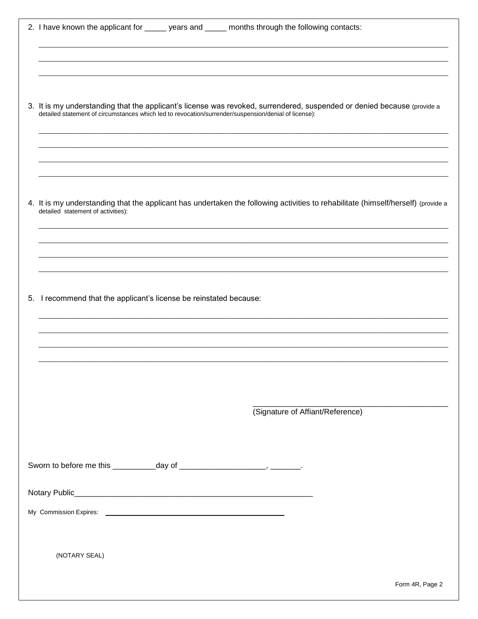| 2. I have known the applicant for ______ years and _____ months through the following contacts:                                                                                                                                 |
|---------------------------------------------------------------------------------------------------------------------------------------------------------------------------------------------------------------------------------|
|                                                                                                                                                                                                                                 |
|                                                                                                                                                                                                                                 |
|                                                                                                                                                                                                                                 |
| 3. It is my understanding that the applicant's license was revoked, surrendered, suspended or denied because (provide a<br>detailed statement of circumstances which led to revocation/surrender/suspension/denial of license): |
|                                                                                                                                                                                                                                 |
|                                                                                                                                                                                                                                 |
|                                                                                                                                                                                                                                 |
| 4. It is my understanding that the applicant has undertaken the following activities to rehabilitate (himself/herself) (provide a<br>detailed statement of activities):                                                         |
|                                                                                                                                                                                                                                 |
|                                                                                                                                                                                                                                 |
|                                                                                                                                                                                                                                 |
| 5. I recommend that the applicant's license be reinstated because:                                                                                                                                                              |
|                                                                                                                                                                                                                                 |
|                                                                                                                                                                                                                                 |
|                                                                                                                                                                                                                                 |
|                                                                                                                                                                                                                                 |
|                                                                                                                                                                                                                                 |
|                                                                                                                                                                                                                                 |
| (Signature of Affiant/Reference)                                                                                                                                                                                                |
|                                                                                                                                                                                                                                 |
|                                                                                                                                                                                                                                 |
|                                                                                                                                                                                                                                 |
|                                                                                                                                                                                                                                 |
|                                                                                                                                                                                                                                 |
|                                                                                                                                                                                                                                 |
| (NOTARY SEAL)                                                                                                                                                                                                                   |
|                                                                                                                                                                                                                                 |
| Form 4R, Page 2                                                                                                                                                                                                                 |